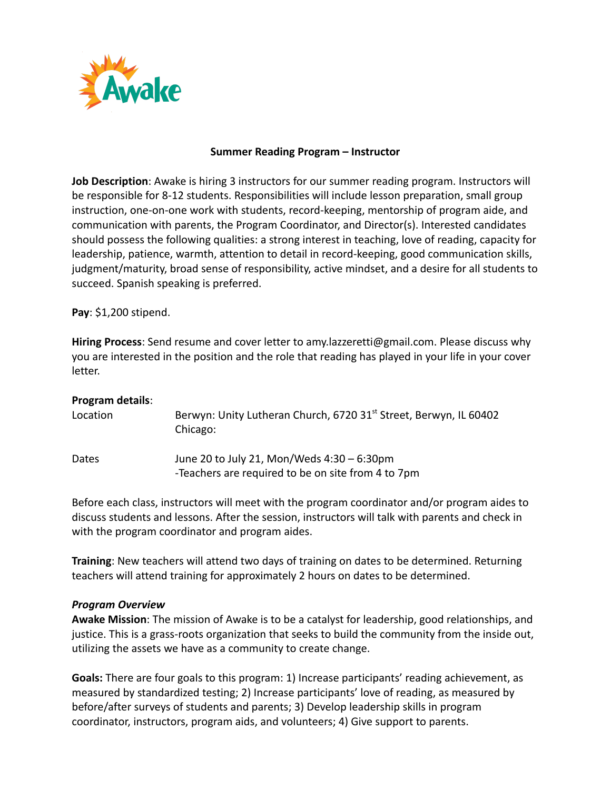

## **Summer Reading Program – Instructor**

**Job Description**: Awake is hiring 3 instructors for our summer reading program. Instructors will be responsible for 8-12 students. Responsibilities will include lesson preparation, small group instruction, one-on-one work with students, record-keeping, mentorship of program aide, and communication with parents, the Program Coordinator, and Director(s). Interested candidates should possess the following qualities: a strong interest in teaching, love of reading, capacity for leadership, patience, warmth, attention to detail in record-keeping, good communication skills, judgment/maturity, broad sense of responsibility, active mindset, and a desire for all students to succeed. Spanish speaking is preferred.

**Pay**: \$1,200 stipend.

**Hiring Process**: Send resume and cover letter to amy.lazzeretti@gmail.com. Please discuss why you are interested in the position and the role that reading has played in your life in your cover letter.

| Program details: |                                                                                                  |
|------------------|--------------------------------------------------------------------------------------------------|
| Location         | Berwyn: Unity Lutheran Church, 6720 31 <sup>st</sup> Street, Berwyn, IL 60402<br>Chicago:        |
| Dates            | June 20 to July 21, Mon/Weds 4:30 - 6:30pm<br>-Teachers are required to be on site from 4 to 7pm |

Before each class, instructors will meet with the program coordinator and/or program aides to discuss students and lessons. After the session, instructors will talk with parents and check in with the program coordinator and program aides.

**Training**: New teachers will attend two days of training on dates to be determined. Returning teachers will attend training for approximately 2 hours on dates to be determined.

## *Program Overview*

**Awake Mission**: The mission of Awake is to be a catalyst for leadership, good relationships, and justice. This is a grass-roots organization that seeks to build the community from the inside out, utilizing the assets we have as a community to create change.

**Goals:** There are four goals to this program: 1) Increase participants' reading achievement, as measured by standardized testing; 2) Increase participants' love of reading, as measured by before/after surveys of students and parents; 3) Develop leadership skills in program coordinator, instructors, program aids, and volunteers; 4) Give support to parents.